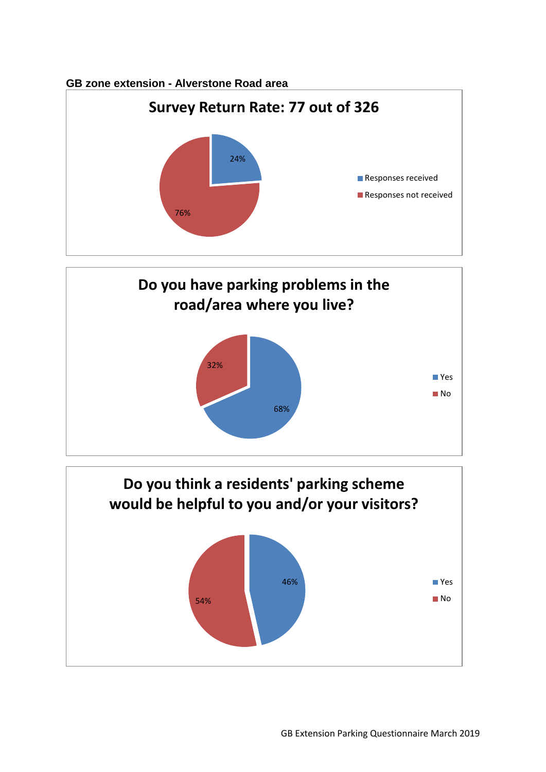## **GB zone extension - Alverstone Road area**





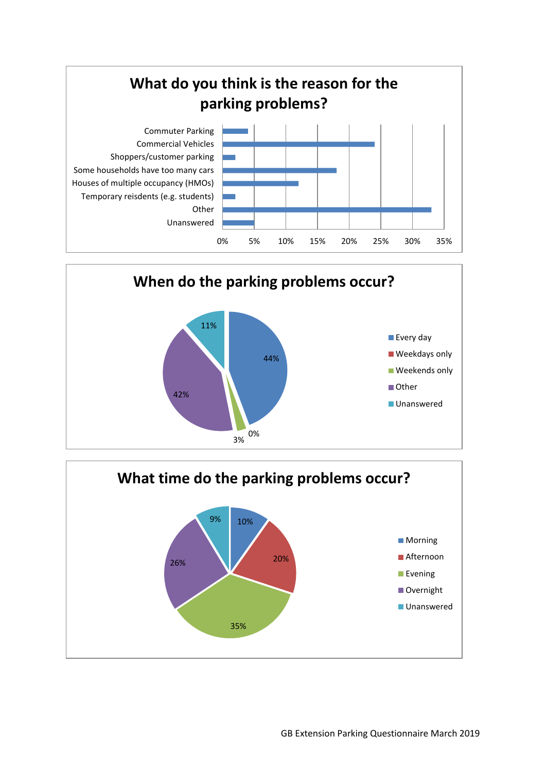



![](_page_1_Figure_2.jpeg)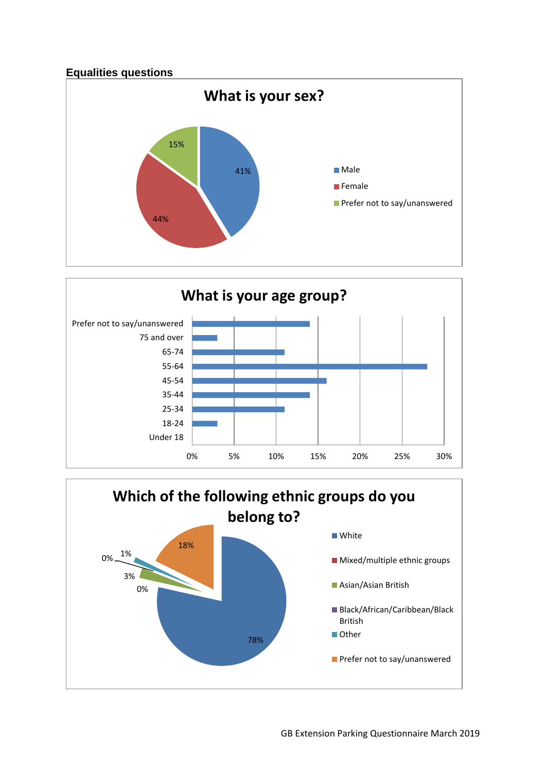![](_page_2_Figure_0.jpeg)

![](_page_2_Figure_1.jpeg)

![](_page_2_Figure_2.jpeg)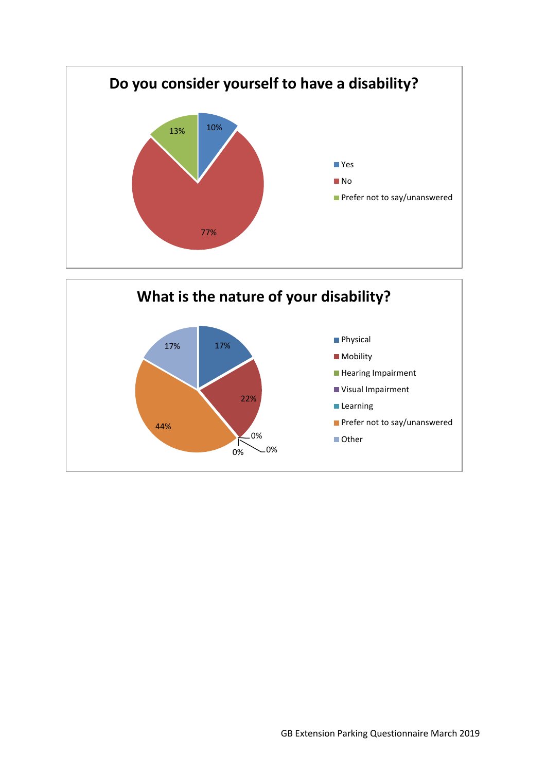![](_page_3_Figure_0.jpeg)

![](_page_3_Figure_1.jpeg)